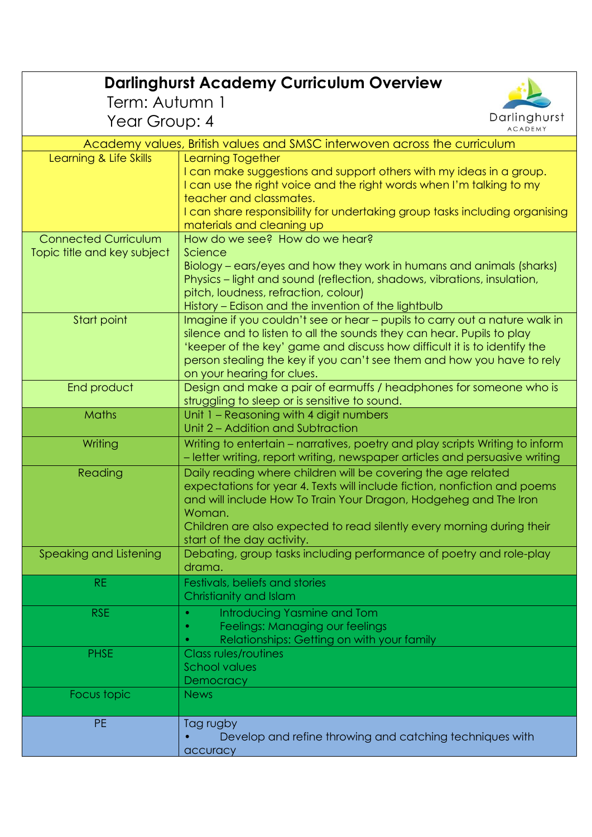| <b>Darlinghurst Academy Curriculum Overview</b>                          |                                                                                                                                                                                                                                                                                                                                         |
|--------------------------------------------------------------------------|-----------------------------------------------------------------------------------------------------------------------------------------------------------------------------------------------------------------------------------------------------------------------------------------------------------------------------------------|
| Term: Autumn 1                                                           |                                                                                                                                                                                                                                                                                                                                         |
| Darlinghurst                                                             |                                                                                                                                                                                                                                                                                                                                         |
| Year Group: 4<br><b>ACADEMY</b>                                          |                                                                                                                                                                                                                                                                                                                                         |
| Academy values, British values and SMSC interwoven across the curriculum |                                                                                                                                                                                                                                                                                                                                         |
| Learning & Life Skills                                                   | <b>Learning Together</b><br>I can make suggestions and support others with my ideas in a group.<br>I can use the right voice and the right words when I'm talking to my<br>teacher and classmates.<br>I can share responsibility for undertaking group tasks including organising<br>materials and cleaning up                          |
| <b>Connected Curriculum</b><br>Topic title and key subject               | How do we see? How do we hear?<br>Science<br>Biology – ears/eyes and how they work in humans and animals (sharks)<br>Physics – light and sound (reflection, shadows, vibrations, insulation,<br>pitch, loudness, refraction, colour)<br>History – Edison and the invention of the lightbulb                                             |
| Start point                                                              | Imagine if you couldn't see or hear - pupils to carry out a nature walk in<br>silence and to listen to all the sounds they can hear. Pupils to play<br>'keeper of the key' game and discuss how difficult it is to identify the<br>person stealing the key if you can't see them and how you have to rely<br>on your hearing for clues. |
| End product                                                              | Design and make a pair of earmuffs / headphones for someone who is<br>struggling to sleep or is sensitive to sound.                                                                                                                                                                                                                     |
| <b>Maths</b>                                                             | Unit 1 - Reasoning with 4 digit numbers<br>Unit 2 - Addition and Subtraction                                                                                                                                                                                                                                                            |
| Writing                                                                  | Writing to entertain - narratives, poetry and play scripts Writing to inform<br>- letter writing, report writing, newspaper articles and persuasive writing                                                                                                                                                                             |
| Reading                                                                  | Daily reading where children will be covering the age related<br>expectations for year 4. Texts will include fiction, nonfiction and poems<br>and will include How To Train Your Dragon, Hodgeheg and The Iron<br>Woman.<br>Children are also expected to read silently every morning during their<br>start of the day activity.        |
| Speaking and Listening                                                   | Debating, group tasks including performance of poetry and role-play<br>drama.                                                                                                                                                                                                                                                           |
| <b>RE</b>                                                                | Festivals, beliefs and stories<br>Christianity and Islam                                                                                                                                                                                                                                                                                |
| RSE                                                                      | Introducing Yasmine and Tom<br>$\bullet$<br>Feelings: Managing our feelings<br>Relationships: Getting on with your family                                                                                                                                                                                                               |
| <b>PHSE</b>                                                              | Class rules/routines<br><b>School values</b><br>Democracy                                                                                                                                                                                                                                                                               |
| Focus topic                                                              | <b>News</b>                                                                                                                                                                                                                                                                                                                             |
| <b>PE</b>                                                                | Tag rugby<br>Develop and refine throwing and catching techniques with<br>accuracy                                                                                                                                                                                                                                                       |